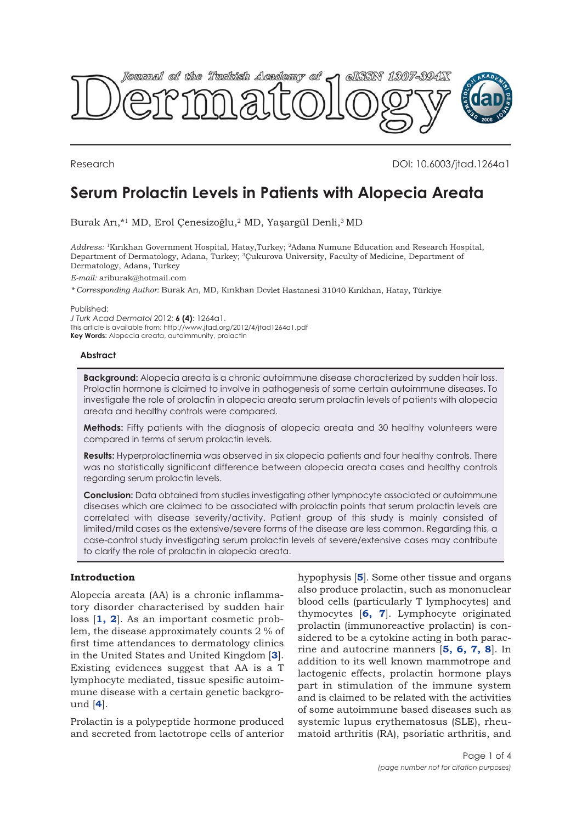

Research DOI: 10.6003/jtad.1264a1

# **Serum Prolactin Levels in Patients with Alopecia Areata**

Burak Arı,\*1 MD, Erol Çenesizoğlu,2 MD, Yaşargül Denli,3 MD

*Address:* <sup>1</sup>Kırıkhan Government Hospital, Hatay,Turkey; <sup>2</sup>Adana Numune Education and Research Hospital, Department of Dermatology, Adana, Turkey; <sup>3</sup>Çukurova University, Faculty of Medicine, Department of Dermatology, Adana, Turkey

*E-mail:* ariburak@hotmail.com

*\* Corresponding Author:* Burak Arı, MD, Kırıkhan Devlet Hastanesi 31040 Kırıkhan, Hatay, Türkiye

Published:

*J Turk Acad Dermatol* 2012; **6 (4)**: 1264a1. This article is available from: http://www.jtad.org/2012/4/jtad1264a1.pdf

**Key Words:** Alopecia areata, autoimmunity, prolactin

#### **Abstract**

**Background:** Alopecia areata is a chronic autoimmune disease characterized by sudden hair loss. Prolactin hormone is claimed to involve in pathogenesis of some certain autoimmune diseases. To investigate the role of prolactin in alopecia areata serum prolactin levels of patients with alopecia areata and healthy controls were compared.

**Methods:** Fifty patients with the diagnosis of alopecia areata and 30 healthy volunteers were compared in terms of serum prolactin levels.

**Results:** Hyperprolactinemia was observed in six alopecia patients and four healthy controls. There was no statistically significant difference between alopecia areata cases and healthy controls regarding serum prolactin levels.

**Conclusion:** Data obtained from studies investigating other lymphocyte associated or autoimmune diseases which are claimed to be associated with prolactin points that serum prolactin levels are correlated with disease severity/activity. Patient group of this study is mainly consisted of limited/mild cases as the extensive/severe forms of the disease are less common. Regarding this, a case-control study investigating serum prolactin levels of severe/extensive cases may contribute to clarify the role of prolactin in alopecia areata.

# **Introduction**

Alopecia areata (AA) is a chronic inflammatory disorder characterised by sudden hair loss [**[1, 2](#page-3-0)**]. As an important cosmetic problem, the disease approximately counts 2 % of first time attendances to dermatology clinics in the United States and United Kingdom [**[3](#page-3-0)**]. Existing evidences suggest that AA is a T lymphocyte mediated, tissue spesific autoimmune disease with a certain genetic background [**[4](#page-3-0)**].

Prolactin is a polypeptide hormone produced and secreted from lactotrope cells of anterior

hypophysis [**[5](#page-3-0)**]. Some other tissue and organs also produce prolactin, such as mononuclear blood cells (particularly T lymphocytes) and thymocytes [**[6, 7](#page-3-0)**]. Lymphocyte originated prolactin (immunoreactive prolactin) is considered to be a cytokine acting in both paracrine and autocrine manners [**[5, 6, 7, 8](#page-3-0)**]. In addition to its well known mammotrope and lactogenic effects, prolactin hormone plays part in stimulation of the immune system and is claimed to be related with the activities of some autoimmune based diseases such as systemic lupus erythematosus (SLE), rheumatoid arthritis (RA), psoriatic arthritis, and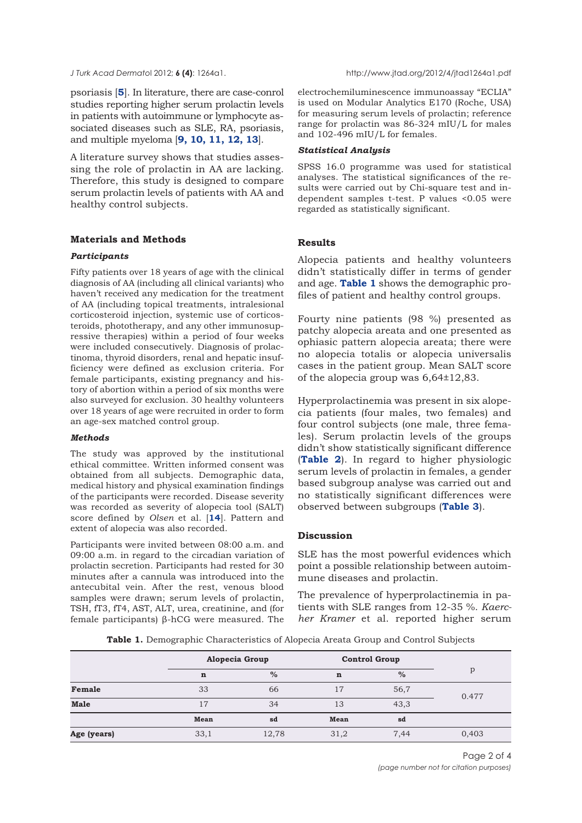psoriasis [**[5](#page-3-0)**]. In literature, there are case-conrol studies reporting higher serum prolactin levels in patients with autoimmune or lymphocyte associated diseases such as SLE, RA, psoriasis, and multiple myeloma [**[9, 10, 11, 12, 13](#page-3-0)**].

A literature survey shows that studies assessing the role of prolactin in AA are lacking. Therefore, this study is designed to compare serum prolactin levels of patients with AA and healthy control subjects.

## **Materials and Methods**

#### *Participants*

Fifty patients over 18 years of age with the clinical diagnosis of AA (including all clinical variants) who haven't received any medication for the treatment of AA (including topical treatments, intralesional corticosteroid injection, systemic use of corticosteroids, phototherapy, and any other immunosupressive therapies) within a period of four weeks were included consecutively. Diagnosis of prolactinoma, thyroid disorders, renal and hepatic insufficiency were defined as exclusion criteria. For female participants, existing pregnancy and history of abortion within a period of six months were also surveyed for exclusion. 30 healthy volunteers over 18 years of age were recruited in order to form an age-sex matched control group.

#### *Methods*

The study was approved by the institutional ethical committee. Written informed consent was obtained from all subjects. Demographic data, medical history and physical examination findings of the participants were recorded. Disease severity was recorded as severity of alopecia tool (SALT) score defined by *Olsen* et al. [**[14](#page-3-0)**]. Pattern and extent of alopecia was also recorded.

Participants were invited between 08:00 a.m. and 09:00 a.m. in regard to the circadian variation of prolactin secretion. Participants had rested for 30 minutes after a cannula was introduced into the antecubital vein. After the rest, venous blood samples were drawn; serum levels of prolactin, TSH, fT3, fT4, AST, ALT, urea, creatinine, and (for female participants) β-hCG were measured. The

electrochemiluminescence immunoassay "ECLIA" is used on Modular Analytics E170 (Roche, USA) for measuring serum levels of prolactin; reference range for prolactin was 86-324 mIU/L for males and 102-496 mIU/L for females.

## *Statistical Analysis*

SPSS 16.0 programme was used for statistical analyses. The statistical significances of the results were carried out by Chi-square test and independent samples t-test. P values <0.05 were regarded as statistically significant.

## **Results**

Alopecia patients and healthy volunteers didn't statistically differ in terms of gender and age. **Table 1** shows the demographic profiles of patient and healthy control groups.

Fourty nine patients (98 %) presented as patchy alopecia areata and one presented as ophiasic pattern alopecia areata; there were no alopecia totalis or alopecia universalis cases in the patient group. Mean SALT score of the alopecia group was 6,64±12,83.

Hyperprolactinemia was present in six alopecia patients (four males, two females) and four control subjects (one male, three females). Serum prolactin levels of the groups didn't show statistically significant difference (**[Table 2](#page-2-0)**). In regard to higher physiologic serum levels of prolactin in females, a gender based subgroup analyse was carried out and no statistically significant differences were observed between subgroups (**[Table 3](#page-2-0)**).

### **Discussion**

SLE has the most powerful evidences which point a possible relationship between autoimmune diseases and prolactin.

The prevalence of hyperprolactinemia in patients with SLE ranges from 12-35 %. *Kaercher Kramer* et al. reported higher serum

**Table 1.** Demographic Characteristics of Alopecia Areata Group and Control Subjects

|             | Alopecia Group |       | <b>Control Group</b> |      |       |
|-------------|----------------|-------|----------------------|------|-------|
|             | $\mathbf n$    | $\%$  | $\mathbf n$          | $\%$ | p     |
| Female      | 33             | 66    | 17                   | 56,7 | 0.477 |
| <b>Male</b> | 17             | 34    | 13                   | 43,3 |       |
|             | Mean           | sd    | Mean                 | sd   |       |
| Age (years) | 33,1           | 12,78 | 31,2                 | 7.44 | 0,403 |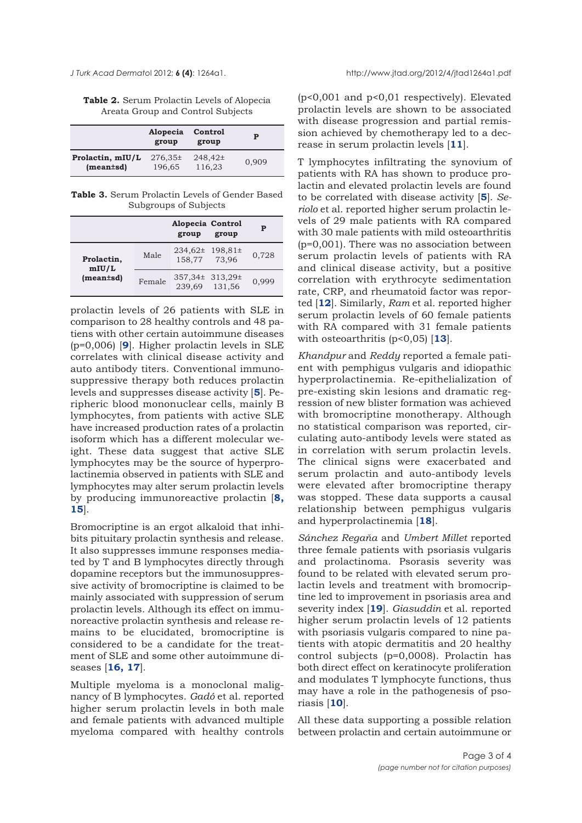<span id="page-2-0"></span>

**Table 2.** Serum Prolactin Levels of Alopecia Areata Group and Control Subjects

|                  | Alopecia<br>group | Control<br>group | P     |
|------------------|-------------------|------------------|-------|
| Prolactin, mIU/L | $276.35\pm$       | 248,42±          | 0.909 |
| $(mean \pm sd)$  | 196,65            | 116,23           |       |

**Table 3.** Serum Prolactin Levels of Gender Based Subgroups of Subjects

|                     |        | Alopecia Control<br>group        | group | Р     |
|---------------------|--------|----------------------------------|-------|-------|
| Prolactin,<br>mIU/L | Male   | 234,62± 198,81±<br>158,77 73,96  |       | 0.728 |
| $(mean \pm sd)$     | Female | 357,34± 313,29±<br>239,69 131,56 |       | 0.999 |

prolactin levels of 26 patients with SLE in comparison to 28 healthy controls and 48 patiens with other certain autoimmune diseases (p=0,006) [**[9](#page-3-0)**]. Higher prolactin levels in SLE correlates with clinical disease activity and auto antibody titers. Conventional immunosuppressive therapy both reduces prolactin levels and suppresses disease activity [**[5](#page-3-0)**]. Peripheric blood mononuclear cells, mainly B lymphocytes, from patients with active SLE have increased production rates of a prolactin isoform which has a different molecular weight. These data suggest that active SLE lymphocytes may be the source of hyperprolactinemia observed in patients with SLE and lymphocytes may alter serum prolactin levels by producing immunoreactive prolactin [**[8,](#page-3-0) [15](#page-3-0)**].

Bromocriptine is an ergot alkaloid that inhibits pituitary prolactin synthesis and release. It also suppresses immune responses mediated by T and B lymphocytes directly through dopamine receptors but the immunosuppressive activity of bromocriptine is claimed to be mainly associated with suppression of serum prolactin levels. Although its effect on immunoreactive prolactin synthesis and release remains to be elucidated, bromocriptine is considered to be a candidate for the treatment of SLE and some other autoimmune diseases [**[16, 17](#page-3-0)**].

Multiple myeloma is a monoclonal malignancy of B lymphocytes. *Gadó* et al. reported higher serum prolactin levels in both male and female patients with advanced multiple myeloma compared with healthy controls

(p<0,001 and p<0,01 respectively). Elevated prolactin levels are shown to be associated with disease progression and partial remission achieved by chemotherapy led to a decrease in serum prolactin levels [**[11](#page-3-0)**].

T lymphocytes infiltrating the synovium of patients with RA has shown to produce prolactin and elevated prolactin levels are found to be correlated with disease activity [**[5](#page-3-0)**]. *Seriolo* et al. reported higher serum prolactin levels of 29 male patients with RA compared with 30 male patients with mild osteoarthritis (p=0,001). There was no association between serum prolactin levels of patients with RA and clinical disease activity, but a positive correlation with erythrocyte sedimentation rate, CRP, and rheumatoid factor was reported [**[12](#page-3-0)**]. Similarly, *Ram* et al. reported higher serum prolactin levels of 60 female patients with RA compared with 31 female patients with osteoarthritis (p<0,05) [**[13](#page-3-0)**].

*Khandpur* and *Reddy* reported a female patient with pemphigus vulgaris and idiopathic hyperprolactinemia. Re-epithelialization of pre-existing skin lesions and dramatic regression of new blister formation was achieved with bromocriptine monotherapy. Although no statistical comparison was reported, circulating auto-antibody levels were stated as in correlation with serum prolactin levels. The clinical signs were exacerbated and serum prolactin and auto-antibody levels were elevated after bromocriptine therapy was stopped. These data supports a causal relationship between pemphigus vulgaris and hyperprolactinemia [**[18](#page-3-0)**].

*Sánchez Regaňa* and *Umbert Millet* reported three female patients with psoriasis vulgaris and prolactinoma. Psorasis severity was found to be related with elevated serum prolactin levels and treatment with bromocriptine led to improvement in psoriasis area and severity index [**[19](#page-3-0)**]. *Giasuddin* et al. reported higher serum prolactin levels of 12 patients with psoriasis vulgaris compared to nine patients with atopic dermatitis and 20 healthy control subjects (p=0,0008). Prolactin has both direct effect on keratinocyte proliferation and modulates T lymphocyte functions, thus may have a role in the pathogenesis of psoriasis [**[10](#page-3-0)**].

All these data supporting a possible relation between prolactin and certain autoimmune or